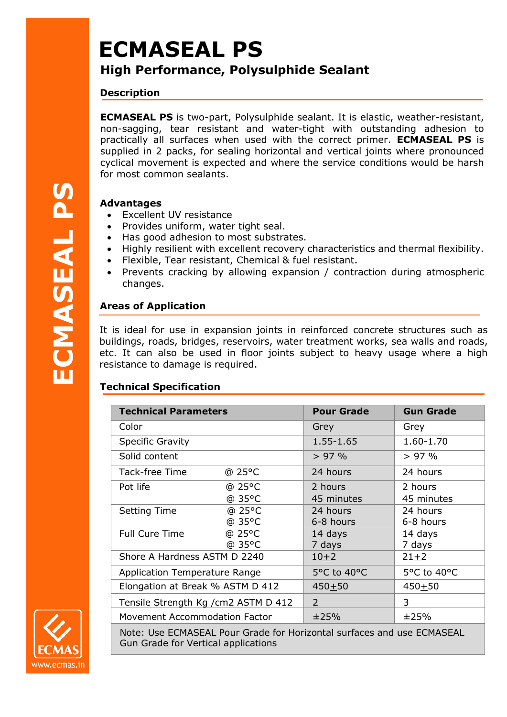# **ECMASEAL PS**

## **High Performance, Polysulphide Sealant**

#### **Description**

**ECMASEAL PS** is two-part, Polysulphide sealant. It is elastic, weather-resistant, non-sagging, tear resistant and water-tight with outstanding adhesion to practically all surfaces when used with the correct primer. **ECMASEAL PS** is supplied in 2 packs, for sealing horizontal and vertical joints where pronounced cyclical movement is expected and where the service conditions would be harsh for most common sealants.

#### **Advantages**

- Excellent UV resistance
- Provides uniform, water tight seal.
- Has good adhesion to most substrates.
- Highly resilient with excellent recovery characteristics and thermal flexibility.
- Flexible, Tear resistant, Chemical & fuel resistant.
- Prevents cracking by allowing expansion / contraction during atmospheric changes.

### **Areas of Application**

It is ideal for use in expansion joints in reinforced concrete structures such as buildings, roads, bridges, reservoirs, water treatment works, sea walls and roads, etc. It can also be used in floor joints subject to heavy usage where a high resistance to damage is required. **Excellent UV resistan**<br>
• Excellent UV resistan<br>
• Provides uniform, wa<br>
• Highly resilient with  $\epsilon$ <br>
• Flexible, Tear resistan<br>
• Prevents cracking by<br>
• Prevents cracking by<br>
• Changes.<br> **Areas of Application**<br>
It is i

| <b>Technical Parameters</b>          |        | <b>Pour Grade</b> | <b>Gun Grade</b> |
|--------------------------------------|--------|-------------------|------------------|
| Color                                |        | Grey              | Grey             |
| <b>Specific Gravity</b>              |        | 1.55-1.65         | 1.60-1.70        |
| Solid content                        |        | $> 97\%$          | > 97%            |
| Tack-free Time                       | @ 25°C | 24 hours          | 24 hours         |
| Pot life                             | @ 25°C | 2 hours           | 2 hours          |
|                                      | @ 35°C | 45 minutes        | 45 minutes       |
| <b>Setting Time</b>                  | @ 25°C | 24 hours          | 24 hours         |
|                                      | @ 35°C | 6-8 hours         | 6-8 hours        |
| <b>Full Cure Time</b>                | @ 25°C | 14 days           | 14 days          |
|                                      | @ 35°C | 7 days            | 7 days           |
| Shore A Hardness ASTM D 2240         |        | $10 + 2$          | $21 + 2$         |
| <b>Application Temperature Range</b> |        | 5°C to 40°C       | 5°C to 40°C      |
| Elongation at Break % ASTM D 412     |        | $450 + 50$        | $450 + 50$       |
| Tensile Strength Kg / cm2 ASTM D 412 |        | 2                 | 3                |
| Movement Accommodation Factor        |        | ±25%              | ±25%             |

Note: Use ECMASEAL Pour Grade for Horizontal surfaces and use ECMASEAL Gun Grade for Vertical applications

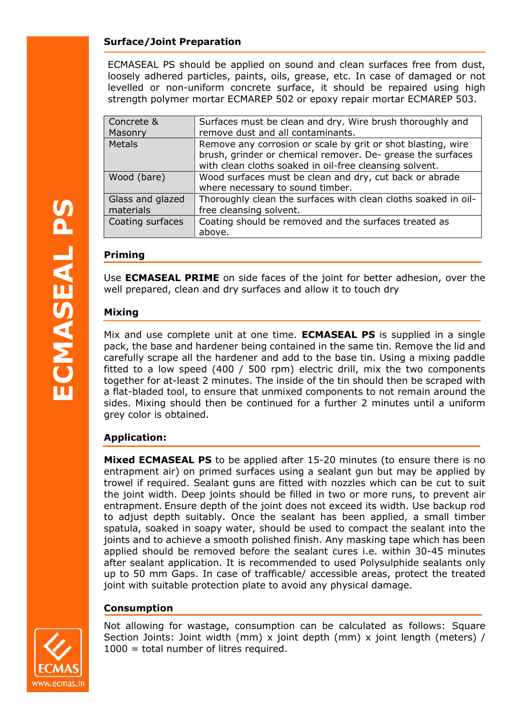#### **Surface/Joint Preparation**

ECMASEAL PS should be applied on sound and clean surfaces free from dust, loosely adhered particles, paints, oils, grease, etc. In case of damaged or not levelled or non-uniform concrete surface, it should be repaired using high strength polymer mortar ECMAREP 502 or epoxy repair mortar ECMAREP 503.

| Concrete &       | Surfaces must be clean and dry. Wire brush thoroughly and      |
|------------------|----------------------------------------------------------------|
| Masonry          | remove dust and all contaminants.                              |
| <b>Metals</b>    | Remove any corrosion or scale by grit or shot blasting, wire   |
|                  | brush, grinder or chemical remover. De- grease the surfaces    |
|                  | with clean cloths soaked in oil-free cleansing solvent.        |
| Wood (bare)      | Wood surfaces must be clean and dry, cut back or abrade        |
|                  | where necessary to sound timber.                               |
| Glass and glazed | Thoroughly clean the surfaces with clean cloths soaked in oil- |
| materials        | free cleansing solvent.                                        |
| Coating surfaces | Coating should be removed and the surfaces treated as          |
|                  | above.                                                         |
|                  |                                                                |

#### **Priming**

Use **ECMASEAL PRIME** on side faces of the joint for better adhesion, over the well prepared, clean and dry surfaces and allow it to touch dry

#### **Mixing**

Mix and use complete unit at one time. **ECMASEAL PS** is supplied in a single pack, the base and hardener being contained in the same tin. Remove the lid and carefully scrape all the hardener and add to the base tin. Using a mixing paddle fitted to a low speed (400 / 500 rpm) electric drill, mix the two components together for at-least 2 minutes. The inside of the tin should then be scraped with a flat-bladed tool, to ensure that unmixed components to not remain around the sides. Mixing should then be continued for a further 2 minutes until a uniform grey color is obtained.

#### **Application:**

**Mixed ECMASEAL PS** to be applied after 15-20 minutes (to ensure there is no entrapment air) on primed surfaces using a sealant gun but may be applied by trowel if required. Sealant guns are fitted with nozzles which can be cut to suit the joint width. Deep joints should be filled in two or more runs, to prevent air entrapment. Ensure depth of the joint does not exceed its width. Use backup rod to adjust depth suitably. Once the sealant has been applied, a small timber spatula, soaked in soapy water, should be used to compact the sealant into the joints and to achieve a smooth polished finish. Any masking tape which has been applied should be removed before the sealant cures i.e. within 30-45 minutes after sealant application. It is recommended to used Polysulphide sealants only up to 50 mm Gaps. In case of trafficable/ accessible areas, protect the treated joint with suitable protection plate to avoid any physical damage.

#### **Consumption**

Not allowing for wastage, consumption can be calculated as follows: Square Section Joints: Joint width (mm) x joint depth (mm) x joint length (meters) / 1000 = total number of litres required.